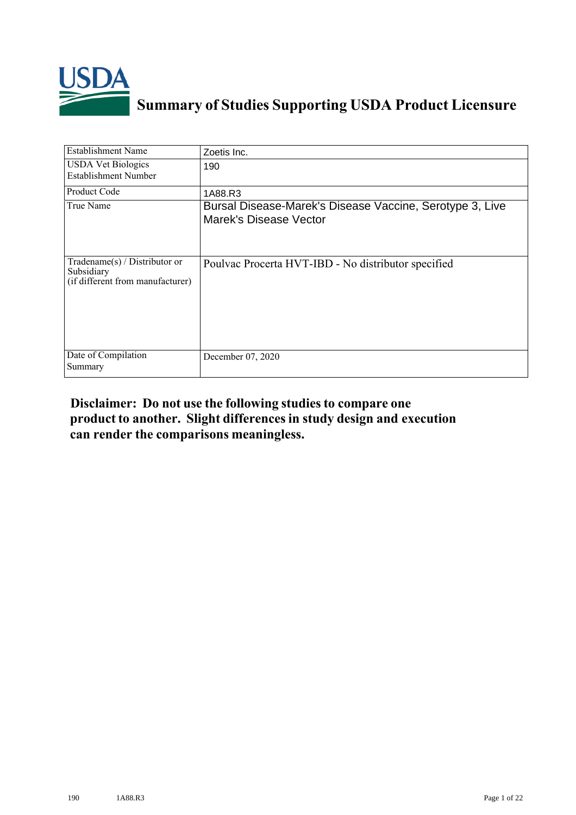

## **Summary of Studies Supporting USDA Product Licensure**

| <b>Establishment Name</b>                                                          | Zoetis Inc.                                                                        |
|------------------------------------------------------------------------------------|------------------------------------------------------------------------------------|
| <b>USDA Vet Biologics</b><br>Establishment Number                                  | 190                                                                                |
| <b>Product Code</b>                                                                | 1A88.R3                                                                            |
| True Name                                                                          | Bursal Disease-Marek's Disease Vaccine, Serotype 3, Live<br>Marek's Disease Vector |
| Tradename $(s)$ / Distributor or<br>Subsidiary<br>(if different from manufacturer) | Poulvac Procerta HVT-IBD - No distributor specified                                |
| Date of Compilation<br>Summary                                                     | December 07, 2020                                                                  |

## **Disclaimer: Do not use the following studiesto compare one product to another. Slight differencesin study design and execution can render the comparisons meaningless.**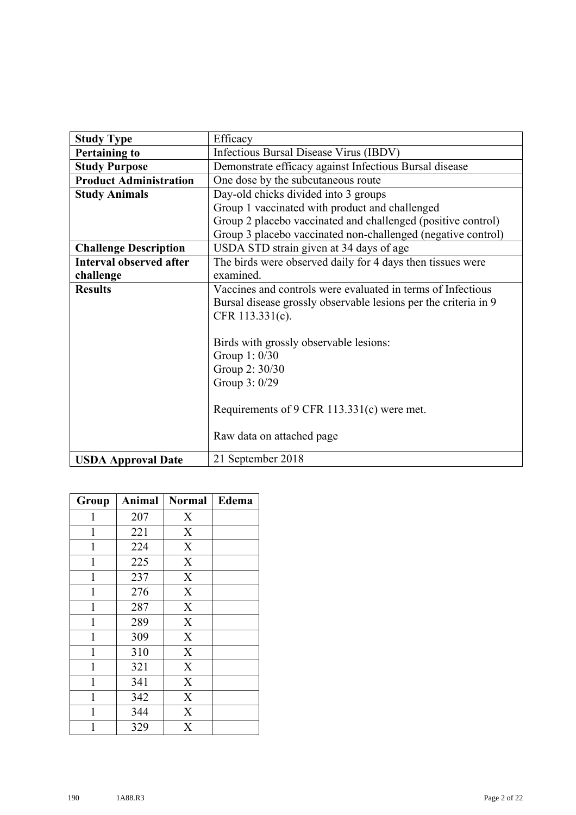| <b>Study Type</b>              | Efficacy                                                        |  |  |
|--------------------------------|-----------------------------------------------------------------|--|--|
| <b>Pertaining to</b>           | Infectious Bursal Disease Virus (IBDV)                          |  |  |
| <b>Study Purpose</b>           | Demonstrate efficacy against Infectious Bursal disease          |  |  |
| <b>Product Administration</b>  | One dose by the subcutaneous route                              |  |  |
| <b>Study Animals</b>           | Day-old chicks divided into 3 groups                            |  |  |
|                                | Group 1 vaccinated with product and challenged                  |  |  |
|                                | Group 2 placebo vaccinated and challenged (positive control)    |  |  |
|                                | Group 3 placebo vaccinated non-challenged (negative control)    |  |  |
| <b>Challenge Description</b>   | USDA STD strain given at 34 days of age                         |  |  |
| <b>Interval observed after</b> | The birds were observed daily for 4 days then tissues were      |  |  |
| challenge                      | examined.                                                       |  |  |
| <b>Results</b>                 | Vaccines and controls were evaluated in terms of Infectious     |  |  |
|                                | Bursal disease grossly observable lesions per the criteria in 9 |  |  |
|                                | CFR 113.331(c).                                                 |  |  |
|                                |                                                                 |  |  |
|                                | Birds with grossly observable lesions:                          |  |  |
|                                | Group 1: 0/30                                                   |  |  |
|                                | Group 2: 30/30                                                  |  |  |
|                                | Group 3: 0/29                                                   |  |  |
|                                |                                                                 |  |  |
|                                | Requirements of 9 CFR 113.331(c) were met.                      |  |  |
|                                |                                                                 |  |  |
|                                | Raw data on attached page                                       |  |  |
| <b>USDA Approval Date</b>      | 21 September 2018                                               |  |  |

| Group        | Animal | <b>Normal</b>             | Edema |
|--------------|--------|---------------------------|-------|
| 1            | 207    | $\mathbf X$               |       |
| 1            | 221    | $\mathbf X$               |       |
| 1            | 224    | $\boldsymbol{\mathrm{X}}$ |       |
| 1            | 225    | $\mathbf X$               |       |
| 1            | 237    | $\overline{\text{X}}$     |       |
| $\mathbf{1}$ | 276    | $\overline{\text{X}}$     |       |
| 1            | 287    | $\mathbf X$               |       |
| 1            | 289    | $\mathbf X$               |       |
| $\mathbf{1}$ | 309    | $\overline{\text{X}}$     |       |
| 1            | 310    | $\boldsymbol{\mathrm{X}}$ |       |
| 1            | 321    | $\boldsymbol{\mathrm{X}}$ |       |
| 1            | 341    | $\mathbf X$               |       |
| 1            | 342    | $\overline{X}$            |       |
| 1            | 344    | $\boldsymbol{\mathrm{X}}$ |       |
| 1            | 329    | $\boldsymbol{\mathrm{X}}$ |       |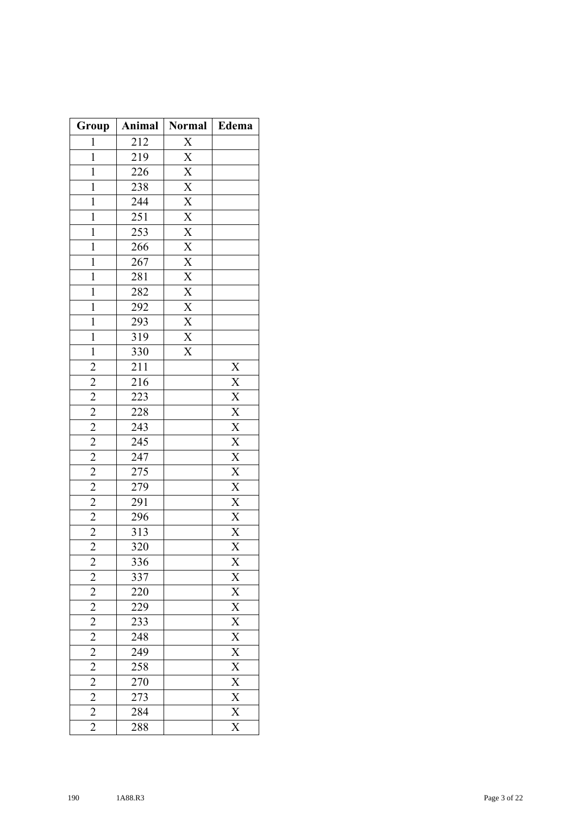| Group                                     | Animal           | <b>Normal</b>                                                                                               | Edema                                                                                                                                                                       |
|-------------------------------------------|------------------|-------------------------------------------------------------------------------------------------------------|-----------------------------------------------------------------------------------------------------------------------------------------------------------------------------|
| 1                                         | 212              |                                                                                                             |                                                                                                                                                                             |
| $\mathbf 1$                               | 219              |                                                                                                             |                                                                                                                                                                             |
| $\mathbf{1}$                              | 226              |                                                                                                             |                                                                                                                                                                             |
| $\mathbf{1}$                              | 238              |                                                                                                             |                                                                                                                                                                             |
| $\mathbf{1}$                              | 244              |                                                                                                             |                                                                                                                                                                             |
| $\mathbf{1}$                              | 251              |                                                                                                             |                                                                                                                                                                             |
| $\mathbf{1}$                              | 253              |                                                                                                             |                                                                                                                                                                             |
| $\mathbf{1}$                              | 266              | $\frac{X}{X}$ $\frac{X}{X}$ $\frac{X}{X}$ $\frac{X}{X}$ $\frac{X}{X}$                                       |                                                                                                                                                                             |
| $\mathbf 1$                               | 267              |                                                                                                             |                                                                                                                                                                             |
| $\mathbf{1}$                              | 281              |                                                                                                             |                                                                                                                                                                             |
| $\mathbf{1}$                              | 282              |                                                                                                             |                                                                                                                                                                             |
| $\mathbf 1$                               | 292              | $\frac{\overline{X}}{\overline{X}}$ $\frac{\overline{X}}{\overline{X}}$ $\frac{\overline{X}}{\overline{X}}$ |                                                                                                                                                                             |
| $\mathbf{1}$                              | 293              |                                                                                                             |                                                                                                                                                                             |
| $\mathbf{1}$                              | $\overline{319}$ |                                                                                                             |                                                                                                                                                                             |
| $\mathbf{1}$                              | 330              | $\overline{\text{X}}$                                                                                       |                                                                                                                                                                             |
|                                           | 211              |                                                                                                             | X                                                                                                                                                                           |
| $rac{2}{2}$                               | 216              |                                                                                                             | $\frac{\overline{X} \times \overline{X}}{\overline{X} \times \overline{X} \times \overline{X}}$ $\frac{\overline{X} \times \overline{X}}{\overline{X} \times \overline{X}}$ |
|                                           | 223              |                                                                                                             |                                                                                                                                                                             |
| $\frac{2}{2}$ $\frac{2}{2}$               | 228              |                                                                                                             |                                                                                                                                                                             |
|                                           | 243              |                                                                                                             |                                                                                                                                                                             |
|                                           | 245              |                                                                                                             |                                                                                                                                                                             |
| $\frac{2}{2}$                             | 247              |                                                                                                             |                                                                                                                                                                             |
|                                           | 275              |                                                                                                             |                                                                                                                                                                             |
| $\overline{2}$                            | 279              |                                                                                                             |                                                                                                                                                                             |
| $\frac{2}{2}$                             | 291              |                                                                                                             |                                                                                                                                                                             |
|                                           | 296              |                                                                                                             |                                                                                                                                                                             |
|                                           | 313              |                                                                                                             |                                                                                                                                                                             |
| $\overline{2}$                            | 320              |                                                                                                             | $\overline{X}$                                                                                                                                                              |
|                                           | 336              |                                                                                                             |                                                                                                                                                                             |
|                                           | 337              |                                                                                                             |                                                                                                                                                                             |
| $\frac{2}{2}$ $\frac{2}{2}$ $\frac{2}{2}$ | $\frac{220}{2}$  |                                                                                                             |                                                                                                                                                                             |
|                                           | 229              |                                                                                                             |                                                                                                                                                                             |
|                                           | 233              |                                                                                                             |                                                                                                                                                                             |
|                                           | $\overline{248}$ |                                                                                                             |                                                                                                                                                                             |
| $\frac{2}{2}$                             | 249              |                                                                                                             |                                                                                                                                                                             |
|                                           | 258              |                                                                                                             |                                                                                                                                                                             |
|                                           | 270              |                                                                                                             |                                                                                                                                                                             |
| $\frac{2}{2}$                             | 273              |                                                                                                             |                                                                                                                                                                             |
|                                           | 284              |                                                                                                             | $\frac{X}{X} \frac{X}{X} \frac{X}{X} \frac{X}{X} \frac{X}{X} \frac{X}{X} \frac{X}{X} \frac{X}{X} \frac{X}{X}$                                                               |
| $\overline{2}$                            | 288              |                                                                                                             |                                                                                                                                                                             |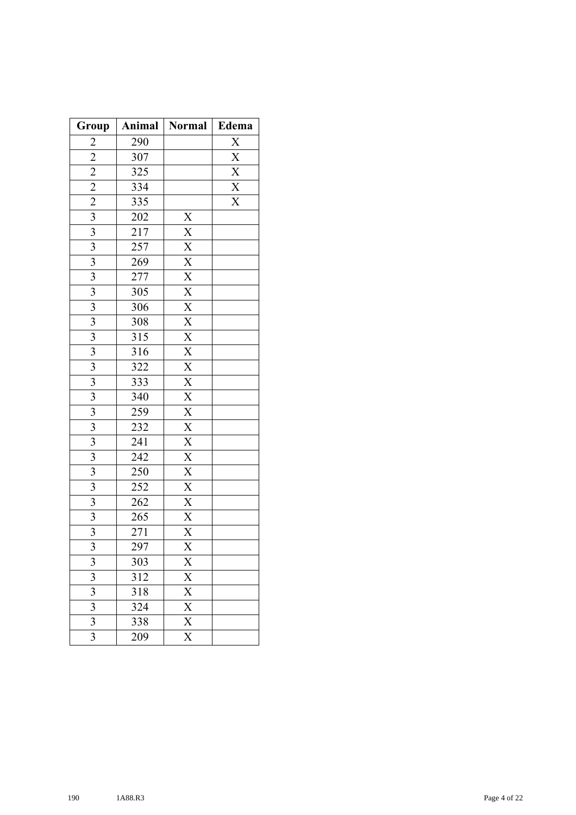| Group                                                   | Animal           | <b>Normal</b>         | Edema                               |
|---------------------------------------------------------|------------------|-----------------------|-------------------------------------|
| $\overline{c}$                                          | 290              |                       | $\overline{\text{X}}$               |
|                                                         | 307              |                       | $\overline{X}$                      |
|                                                         | 325              |                       |                                     |
|                                                         | 334              |                       | $\frac{\overline{X}}{\overline{X}}$ |
| $\frac{2}{2}$ $\frac{2}{2}$ $\frac{2}{3}$ $\frac{3}{3}$ | 335              |                       | $\overline{\text{X}}$               |
|                                                         | 202              |                       |                                     |
|                                                         | $\overline{217}$ |                       |                                     |
| $\overline{\overline{3}}$                               | 257              |                       |                                     |
| $\overline{\mathbf{3}}$                                 | 269              |                       |                                     |
| $\overline{3}$                                          | 277              |                       |                                     |
| $\overline{\mathbf{3}}$                                 | $\overline{3}05$ |                       |                                     |
| $\overline{\mathbf{3}}$                                 | 306              |                       |                                     |
| $\overline{\mathbf{3}}$                                 | 308              |                       |                                     |
| $\overline{\mathbf{3}}$                                 | 315              |                       |                                     |
| $\overline{3}$                                          | 316              |                       |                                     |
| $\overline{\mathbf{3}}$                                 | 322              |                       |                                     |
| $\overline{\mathbf{3}}$                                 | 333              |                       |                                     |
| $\overline{\mathbf{3}}$                                 | 340              |                       |                                     |
| $\overline{\mathbf{3}}$                                 | $2\bar{59}$      |                       |                                     |
| $\overline{\mathbf{3}}$                                 | 232              |                       |                                     |
| 3                                                       | $\frac{241}{2}$  |                       |                                     |
| $\overline{3}$                                          | 242              |                       |                                     |
| $\overline{\mathbf{3}}$                                 | 250              |                       |                                     |
| $\mathfrak{Z}$                                          | 252              |                       |                                     |
| $\overline{\overline{3}}$                               | 262              |                       |                                     |
| $\overline{\mathbf{3}}$                                 | 265              |                       |                                     |
| $\overline{\mathbf{3}}$                                 | 271              |                       |                                     |
| $\overline{3}$                                          | 297              | $\overline{X}$        |                                     |
| 3                                                       | 303              | X                     |                                     |
| 3                                                       | 312              | X                     |                                     |
| $\overline{\mathbf{3}}$                                 | 318              | $\overline{X}$        |                                     |
| 3                                                       | 324              | $\overline{X}$        |                                     |
| $\overline{\mathbf{3}}$                                 | 338              | $\overline{X}$        |                                     |
| $\overline{3}$                                          | 209              | $\overline{\text{X}}$ |                                     |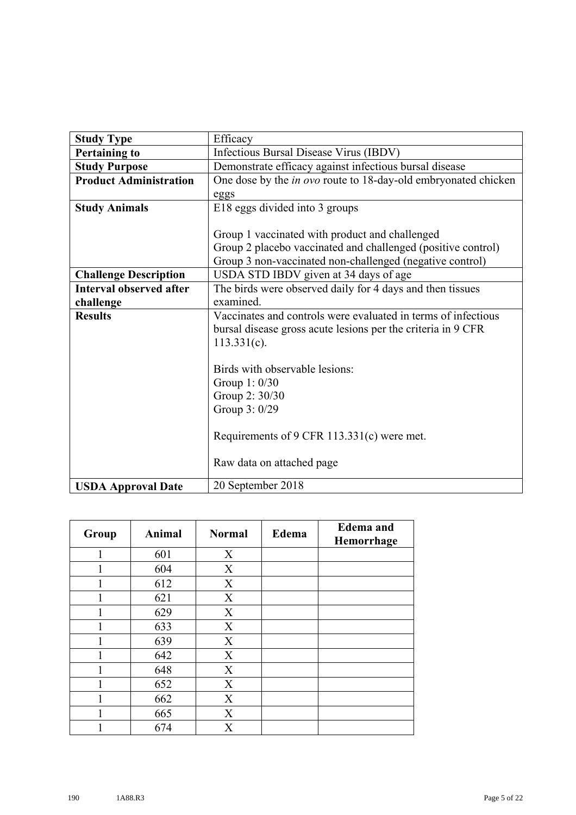| <b>Study Type</b>              | Efficacy                                                              |  |  |
|--------------------------------|-----------------------------------------------------------------------|--|--|
| <b>Pertaining to</b>           | <b>Infectious Bursal Disease Virus (IBDV)</b>                         |  |  |
| <b>Study Purpose</b>           | Demonstrate efficacy against infectious bursal disease                |  |  |
| <b>Product Administration</b>  | One dose by the <i>in ovo</i> route to 18-day-old embryonated chicken |  |  |
|                                | eggs                                                                  |  |  |
| <b>Study Animals</b>           | E18 eggs divided into 3 groups                                        |  |  |
|                                |                                                                       |  |  |
|                                | Group 1 vaccinated with product and challenged                        |  |  |
|                                | Group 2 placebo vaccinated and challenged (positive control)          |  |  |
|                                | Group 3 non-vaccinated non-challenged (negative control)              |  |  |
| <b>Challenge Description</b>   | USDA STD IBDV given at 34 days of age                                 |  |  |
| <b>Interval observed after</b> | The birds were observed daily for 4 days and then tissues             |  |  |
| challenge                      | examined.                                                             |  |  |
| <b>Results</b>                 | Vaccinates and controls were evaluated in terms of infectious         |  |  |
|                                | bursal disease gross acute lesions per the criteria in 9 CFR          |  |  |
|                                | $113.331(c)$ .                                                        |  |  |
|                                |                                                                       |  |  |
|                                | Birds with observable lesions:                                        |  |  |
|                                | Group 1: 0/30                                                         |  |  |
|                                | Group 2: 30/30                                                        |  |  |
|                                | Group 3: 0/29                                                         |  |  |
|                                |                                                                       |  |  |
|                                | Requirements of 9 CFR 113.331(c) were met.                            |  |  |
|                                |                                                                       |  |  |
|                                | Raw data on attached page                                             |  |  |
|                                |                                                                       |  |  |
| <b>USDA Approval Date</b>      | 20 September 2018                                                     |  |  |

| Group | Animal | <b>Normal</b>             | Edema | <b>Edema</b> and<br>Hemorrhage |
|-------|--------|---------------------------|-------|--------------------------------|
| 1     | 601    | X                         |       |                                |
|       | 604    | X                         |       |                                |
|       | 612    | X                         |       |                                |
|       | 621    | X                         |       |                                |
|       | 629    | X                         |       |                                |
|       | 633    | X                         |       |                                |
|       | 639    | X                         |       |                                |
|       | 642    | X                         |       |                                |
|       | 648    | $\boldsymbol{\mathrm{X}}$ |       |                                |
| 1     | 652    | $\boldsymbol{\mathrm{X}}$ |       |                                |
|       | 662    | $\boldsymbol{\mathrm{X}}$ |       |                                |
| 1     | 665    | X                         |       |                                |
|       | 674    | X                         |       |                                |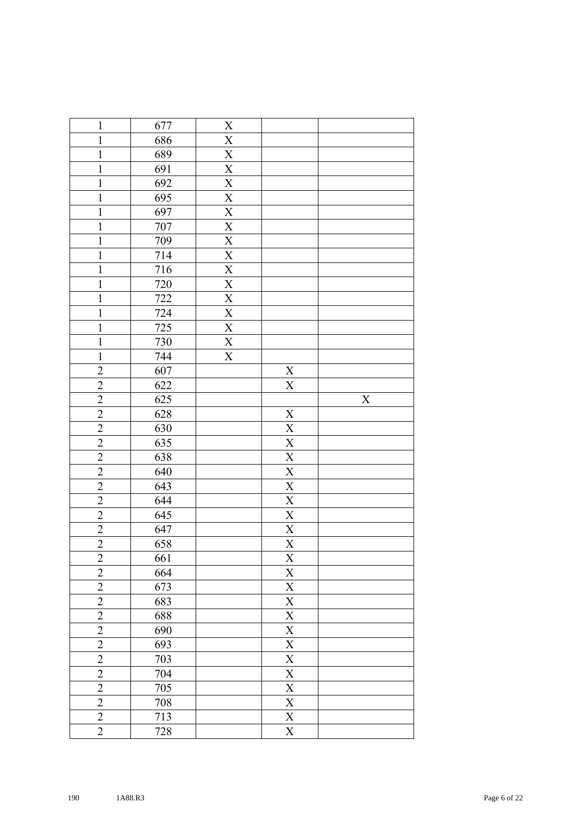| $\mathbf{1}$   | 677 | $\mathbf X$                    |                           |   |
|----------------|-----|--------------------------------|---------------------------|---|
| $\mathbf{1}$   | 686 | $\mathbf X$                    |                           |   |
| $\mathbf{1}$   | 689 | $\mathbf X$                    |                           |   |
| $\mathbf{1}$   | 691 | $\mathbf X$                    |                           |   |
| $\mathbf{1}$   | 692 | $\mathbf X$                    |                           |   |
| $\mathbf{1}$   | 695 | $\mathbf X$                    |                           |   |
| $\mathbf{1}$   | 697 |                                |                           |   |
| $\mathbf{1}$   | 707 | $\frac{X}{X}$<br>$\frac{X}{X}$ |                           |   |
| $\mathbf{1}$   | 709 |                                |                           |   |
| $\mathbf{1}$   | 714 |                                |                           |   |
| $\mathbf{1}$   | 716 | $\mathbf X$                    |                           |   |
| $\mathbf{1}$   | 720 | $\mathbf X$                    |                           |   |
| $\mathbf{1}$   | 722 | $\mathbf X$                    |                           |   |
| $\mathbf 1$    | 724 | $\mathbf X$                    |                           |   |
| $\mathbf{1}$   | 725 | $\mathbf X$                    |                           |   |
| $\overline{1}$ | 730 | $\overline{\textbf{X}}$        |                           |   |
| $\mathbf{1}$   | 744 | $\overline{\mathbf{X}}$        |                           |   |
| $\overline{2}$ | 607 |                                | $\mathbf X$               |   |
| $\overline{2}$ | 622 |                                | $\mathbf X$               |   |
| $\overline{2}$ | 625 |                                |                           | X |
| $\overline{2}$ | 628 |                                | $\mathbf X$               |   |
| $\overline{2}$ | 630 |                                | $\mathbf X$               |   |
| $\overline{2}$ | 635 |                                | $\mathbf X$               |   |
| $\overline{2}$ | 638 |                                | $\overline{\mathbf{X}}$   |   |
| $\overline{2}$ | 640 |                                | $\mathbf X$               |   |
| $\overline{2}$ | 643 |                                | $\overline{\textbf{X}}$   |   |
| $\overline{2}$ | 644 |                                | $\mathbf X$               |   |
| $\overline{2}$ | 645 |                                | $\mathbf X$               |   |
| $\overline{2}$ | 647 |                                | $\mathbf X$               |   |
| $\overline{2}$ | 658 |                                | $\mathbf X$               |   |
| $\overline{2}$ | 661 |                                | $\boldsymbol{\mathrm{X}}$ |   |
| $\overline{c}$ | 664 |                                | $\mathbf X$               |   |
| $\overline{c}$ | 673 |                                | $\mathbf X$               |   |
| $\overline{2}$ | 683 |                                | $\mathbf X$               |   |
| $\overline{2}$ | 688 |                                | $\mathbf X$               |   |
| $\overline{2}$ | 690 |                                | $\mathbf X$               |   |
| $\overline{2}$ | 693 |                                | $\mathbf X$               |   |
| $\overline{2}$ | 703 |                                | $\mathbf X$               |   |
| $\overline{2}$ | 704 |                                | $\overline{\mathbf{X}}$   |   |
| $\overline{2}$ | 705 |                                | $\overline{\mathbf{X}}$   |   |
| $\overline{c}$ | 708 |                                | $\overline{\textbf{X}}$   |   |
| $\overline{2}$ | 713 |                                | $\overline{\mathbf{X}}$   |   |
| $\overline{2}$ | 728 |                                | $\mathbf X$               |   |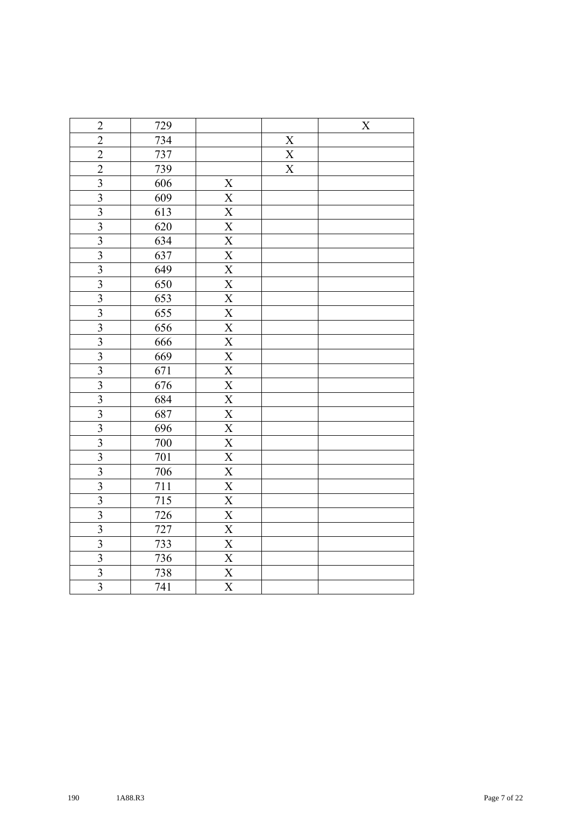| $\overline{2}$              | 729              |                             |               | X |
|-----------------------------|------------------|-----------------------------|---------------|---|
| $\overline{c}$              | 734              |                             |               |   |
| $\overline{2}$              | 737              |                             | $\frac{X}{X}$ |   |
| $\overline{2}$              | 739              |                             |               |   |
| $\overline{\mathbf{3}}$     | 606              | $\boldsymbol{X}$            |               |   |
|                             | 609              |                             |               |   |
| $\frac{3}{3}$ $\frac{3}{3}$ | 613              |                             |               |   |
|                             | 620              |                             |               |   |
|                             | 634              |                             |               |   |
|                             | 637              |                             |               |   |
| $\frac{3}{3}$ $\frac{3}{3}$ | 649              |                             |               |   |
|                             | 650              |                             |               |   |
|                             | 653              |                             |               |   |
|                             | $\overline{655}$ |                             |               |   |
|                             | 656              |                             |               |   |
| $\frac{3}{3}$ $\frac{3}{3}$ | 666              |                             |               |   |
|                             | 669              |                             |               |   |
|                             | 671              |                             |               |   |
| $\frac{3}{3}$ $\frac{3}{3}$ | 676              |                             |               |   |
|                             | 684              |                             |               |   |
|                             | 687              |                             |               |   |
|                             | 696              |                             |               |   |
|                             | 700              |                             |               |   |
| $\frac{3}{3}$ $\frac{3}{3}$ | 701              |                             |               |   |
|                             | 706              |                             |               |   |
|                             | 711              |                             |               |   |
|                             | 715              |                             |               |   |
| $\frac{3}{3}$ $\frac{3}{3}$ | 726              |                             |               |   |
|                             | 727              |                             |               |   |
|                             | 733              |                             |               |   |
|                             | 736              | $\frac{\text{X}}{\text{X}}$ |               |   |
| $\frac{3}{3}$ $\frac{3}{3}$ | 738              |                             |               |   |
|                             | 741              | $\overline{\text{X}}$       |               |   |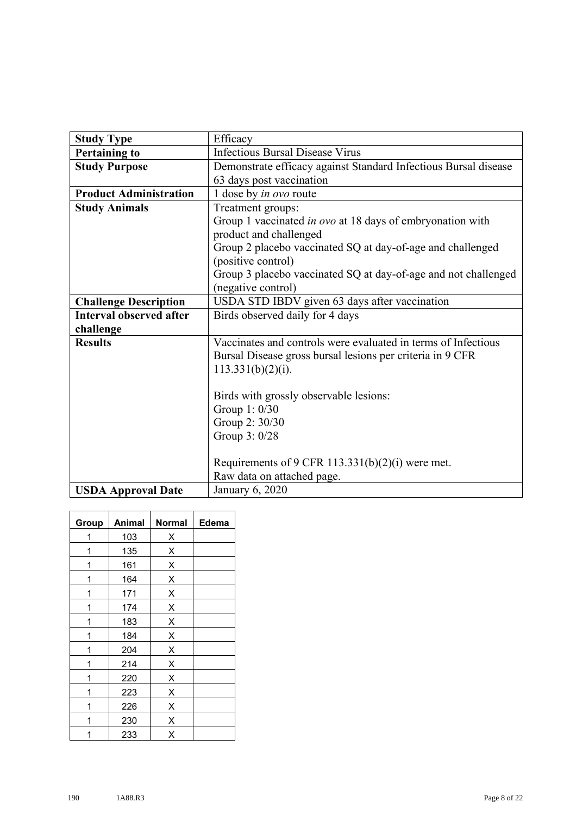| <b>Study Type</b>              | Efficacy                                                        |
|--------------------------------|-----------------------------------------------------------------|
| <b>Pertaining to</b>           | <b>Infectious Bursal Disease Virus</b>                          |
| <b>Study Purpose</b>           | Demonstrate efficacy against Standard Infectious Bursal disease |
|                                | 63 days post vaccination                                        |
| <b>Product Administration</b>  | 1 dose by in ovo route                                          |
| <b>Study Animals</b>           | Treatment groups:                                               |
|                                | Group 1 vaccinated in ovo at 18 days of embryonation with       |
|                                | product and challenged                                          |
|                                | Group 2 placebo vaccinated SQ at day-of-age and challenged      |
|                                | (positive control)                                              |
|                                | Group 3 placebo vaccinated SQ at day-of-age and not challenged  |
|                                | (negative control)                                              |
| <b>Challenge Description</b>   | USDA STD IBDV given 63 days after vaccination                   |
| <b>Interval observed after</b> | Birds observed daily for 4 days                                 |
| challenge                      |                                                                 |
| <b>Results</b>                 | Vaccinates and controls were evaluated in terms of Infectious   |
|                                | Bursal Disease gross bursal lesions per criteria in 9 CFR       |
|                                | 113.331(b)(2)(i).                                               |
|                                |                                                                 |
|                                | Birds with grossly observable lesions:                          |
|                                | Group 1: 0/30                                                   |
|                                | Group 2: 30/30                                                  |
|                                | Group 3: 0/28                                                   |
|                                |                                                                 |
|                                | Requirements of 9 CFR 113.331(b)(2)(i) were met.                |
|                                | Raw data on attached page.                                      |
| <b>USDA Approval Date</b>      | <b>January 6, 2020</b>                                          |

| Group | Animal | <b>Normal</b> | Edema |
|-------|--------|---------------|-------|
| 1     | 103    | Χ             |       |
| 1     | 135    | X             |       |
| 1     | 161    | X             |       |
| 1     | 164    | X             |       |
| 1     | 171    | X             |       |
| 1     | 174    | X             |       |
| 1     | 183    | X             |       |
| 1     | 184    | X             |       |
| 1     | 204    | X             |       |
| 1     | 214    | X             |       |
| 1     | 220    | X             |       |
| 1     | 223    | X             |       |
| 1     | 226    | X             |       |
|       | 230    | X             |       |
|       | 233    | X             |       |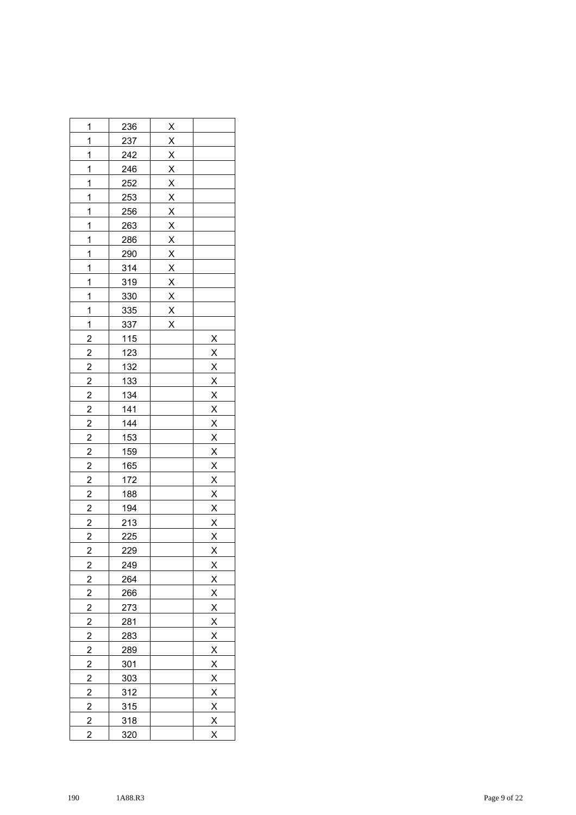| 1                       | <u>236</u> |                         |                         |
|-------------------------|------------|-------------------------|-------------------------|
| 1                       | <u>237</u> |                         |                         |
| 1                       | 242        |                         |                         |
| 1                       | 246        |                         |                         |
| 1                       | 252        |                         |                         |
| 1                       | <u>253</u> |                         |                         |
| 1                       | <u>256</u> |                         |                         |
| 1                       | 263        |                         |                         |
| $\mathbf{1}$            | <u>286</u> |                         |                         |
| 1                       | 290        |                         |                         |
| $\mathbf{1}$            | 314        |                         |                         |
| $\mathbf{1}$            | 319        |                         |                         |
| 1                       | <u>330</u> |                         |                         |
| 1                       | 335        |                         |                         |
| 1                       | 337        | $\overline{\mathsf{x}}$ |                         |
| $\overline{\mathbf{c}}$ | $115$      |                         |                         |
| $\overline{2}$          | 123        |                         |                         |
| $\overline{2}$          | <u>132</u> |                         |                         |
| $\overline{2}$          | 133        |                         |                         |
|                         | 134        |                         |                         |
| $\frac{2}{2}$           | <u>141</u> |                         |                         |
| $\frac{2}{2}$           | 144        |                         |                         |
|                         | 153        |                         |                         |
| $\overline{2}$          | <u>159</u> |                         |                         |
| $\overline{2}$          | 165        |                         |                         |
| $\overline{2}$          | 172        |                         |                         |
| $\frac{2}{ }$           | <u>188</u> |                         |                         |
| $\overline{2}$          | <u>194</u> |                         |                         |
| $\overline{2}$          | 213        |                         |                         |
| $\overline{c}$          | <u>225</u> |                         |                         |
| $\overline{c}$          | 229        |                         | $\overline{X}$          |
| $\overline{\mathbf{c}}$ | 249        |                         | $\overline{\mathsf{X}}$ |
| $\overline{\mathbf{c}}$ | 264        |                         |                         |
| $\overline{2}$          | 266        |                         |                         |
| $\overline{2}$          | 273        |                         | $rac{X}{X}$             |
| $\overline{2}$          | <u>281</u> |                         | $\frac{X}{X}$           |
| $\overline{2}$          | 283        |                         |                         |
| $\overline{2}$          | 289        |                         | $\frac{2}{x}$           |
| $\overline{\mathbf{c}}$ | 301        |                         | $\frac{2}{x}$           |
| $\overline{2}$          | 303        |                         | $\frac{1}{x}$           |
| $\overline{2}$          | 312        |                         |                         |
| $\overline{c}$          | 315        |                         |                         |
| $\overline{2}$          | 318        |                         | $rac{X}{X}$             |
| $\overline{c}$          | 320        |                         | $\overline{\mathsf{X}}$ |
|                         |            |                         |                         |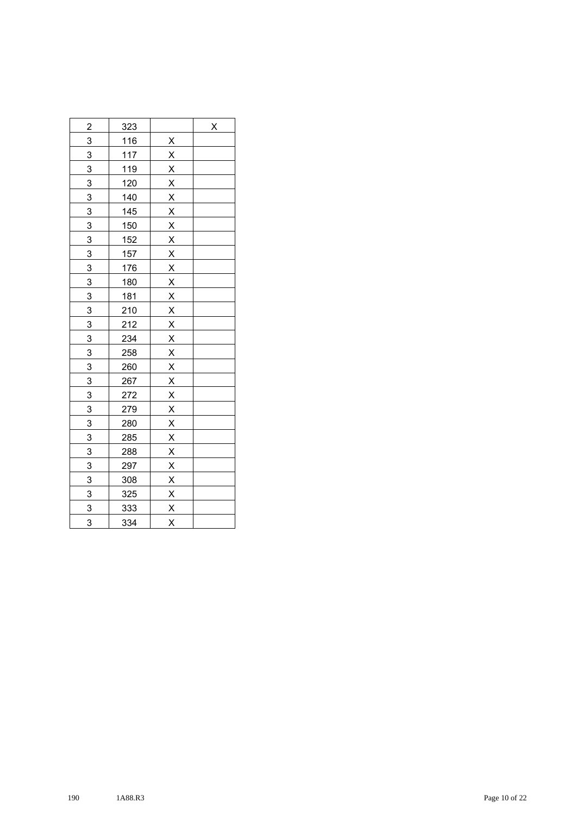| $\overline{2}$ | <u>323</u>  | X |
|----------------|-------------|---|
| $\overline{3}$ | <u>116</u>  |   |
| $\overline{3}$ | 117         |   |
| $\overline{3}$ | <u>119</u>  |   |
|                | 120         |   |
| $\frac{3}{3}$  | 140         |   |
| $\overline{3}$ | 145         |   |
| $\overline{3}$ | 150         |   |
| $\overline{3}$ | 152         |   |
| $\overline{3}$ | 157         |   |
| $\frac{3}{2}$  | 176         |   |
| $\overline{3}$ | <u>180</u>  |   |
| $\overline{3}$ | <u>181</u>  |   |
| $\overline{3}$ | 210         |   |
| $\overline{3}$ | <u> 212</u> |   |
| $\overline{3}$ | <u>234</u>  |   |
| $\overline{3}$ | <u>258</u>  |   |
| $\overline{3}$ | 260         |   |
| $\overline{3}$ | 267         |   |
| $\overline{3}$ | <u> 272</u> |   |
| $\overline{3}$ | 279         |   |
| $\overline{3}$ | <u>280</u>  |   |
| 3              | 285         |   |
| $\overline{3}$ | <u>288</u>  |   |
| $\overline{3}$ | 297         |   |
| $\overline{3}$ | 308         |   |
| $\overline{3}$ | 325         |   |
| $\overline{3}$ | <u>333</u>  |   |
| 3              | 334         |   |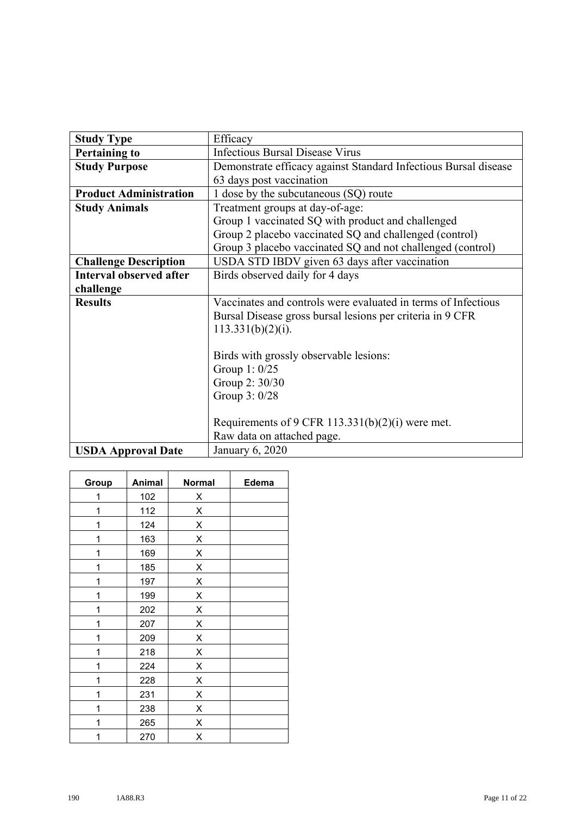| <b>Study Type</b>              | Efficacy                                                        |
|--------------------------------|-----------------------------------------------------------------|
| <b>Pertaining to</b>           | <b>Infectious Bursal Disease Virus</b>                          |
| <b>Study Purpose</b>           | Demonstrate efficacy against Standard Infectious Bursal disease |
|                                | 63 days post vaccination                                        |
| <b>Product Administration</b>  | 1 dose by the subcutaneous (SQ) route                           |
| <b>Study Animals</b>           | Treatment groups at day-of-age:                                 |
|                                | Group 1 vaccinated SQ with product and challenged               |
|                                | Group 2 placebo vaccinated SQ and challenged (control)          |
|                                | Group 3 placebo vaccinated SQ and not challenged (control)      |
| <b>Challenge Description</b>   | USDA STD IBDV given 63 days after vaccination                   |
| <b>Interval observed after</b> | Birds observed daily for 4 days                                 |
| challenge                      |                                                                 |
| <b>Results</b>                 | Vaccinates and controls were evaluated in terms of Infectious   |
|                                | Bursal Disease gross bursal lesions per criteria in 9 CFR       |
|                                | $113.331(b)(2)(i)$ .                                            |
|                                |                                                                 |
|                                | Birds with grossly observable lesions:                          |
|                                | Group 1: 0/25                                                   |
|                                | Group 2: 30/30                                                  |
|                                | Group 3: 0/28                                                   |
|                                |                                                                 |
|                                | Requirements of 9 CFR 113.331(b)(2)(i) were met.                |
|                                | Raw data on attached page.                                      |
| <b>USDA Approval Date</b>      | January 6, 2020                                                 |

| Group | Animal | <b>Normal</b> | Edema |
|-------|--------|---------------|-------|
| 1     | 102    | Χ             |       |
| 1     | 112    | X             |       |
| 1     | 124    | X             |       |
| 1     | 163    | X             |       |
| 1     | 169    | X             |       |
| 1     | 185    | X             |       |
| 1     | 197    | X             |       |
| 1     | 199    | X             |       |
| 1     | 202    | X             |       |
| 1     | 207    | X             |       |
| 1     | 209    | X             |       |
| 1     | 218    | X             |       |
| 1     | 224    | X             |       |
| 1     | 228    | X             |       |
| 1     | 231    | Χ             |       |
| 1     | 238    | X             |       |
| 1     | 265    | X             |       |
| 1     | 270    | X             |       |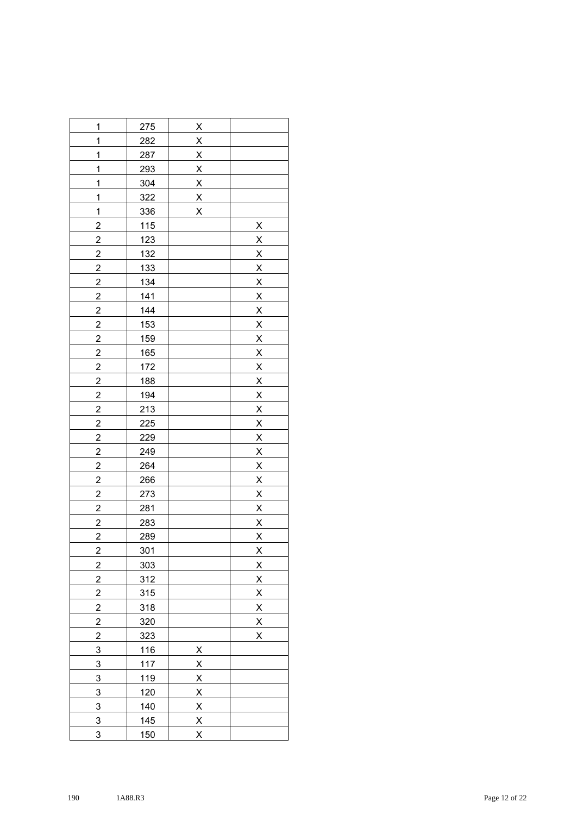| 1                       | 275             | $\overline{\mathsf{X}}$ |                                                                                     |
|-------------------------|-----------------|-------------------------|-------------------------------------------------------------------------------------|
| $\mathbf{1}$            | 282             | $\overline{X}$          |                                                                                     |
| 1                       | <u>287</u>      |                         |                                                                                     |
| 1                       | <u>293</u>      | $\frac{x}{x}$           |                                                                                     |
| $\overline{1}$          | 304             | $\frac{x}{x}$           |                                                                                     |
| 1                       | 322             |                         |                                                                                     |
| $\overline{1}$          | 336             | $\overline{\mathsf{x}}$ |                                                                                     |
| $\overline{\mathbf{c}}$ | <u>115</u>      |                         | $\overline{\mathsf{X}}$                                                             |
| $\overline{2}$          | 123             |                         | $\overline{\mathsf{X}}$                                                             |
| $\overline{2}$          | <u>132</u>      |                         | $\frac{x}{x}$                                                                       |
| $\overline{c}$          | <u>133</u>      |                         |                                                                                     |
| $\overline{c}$          | <u>134</u>      |                         |                                                                                     |
| $\overline{\mathbf{c}}$ | 141             |                         |                                                                                     |
| $\overline{2}$          | 144             |                         |                                                                                     |
| $\overline{2}$          | 153             |                         | $\frac{X}{X} \times \frac{X}{X} \times \frac{X}{X} \times \frac{X}{X}$              |
| $\overline{2}$          | <u>159</u>      |                         |                                                                                     |
| $\overline{2}$          | 165             |                         |                                                                                     |
| $\overline{2}$          | 172             |                         |                                                                                     |
| $\overline{c}$          | <u>188</u>      |                         |                                                                                     |
| $\overline{2}$          | <u>194</u>      |                         |                                                                                     |
| $\overline{2}$          | 213             |                         |                                                                                     |
| $\overline{2}$          | $\frac{225}{5}$ |                         |                                                                                     |
| $\overline{c}$          | 229             |                         | $\frac{X}{X}$ $\frac{X}{X}$ $\frac{X}{X}$ $\frac{X}{X}$ $\frac{X}{X}$ $\frac{X}{X}$ |
| $\overline{2}$          | 249             |                         |                                                                                     |
| $\overline{2}$          | <u>264</u>      |                         |                                                                                     |
| $\overline{2}$          | 266             |                         |                                                                                     |
| $\overline{c}$          | 273             |                         |                                                                                     |
| $\overline{2}$          | <u>281</u>      |                         |                                                                                     |
| $\overline{2}$          | <u>283</u>      |                         |                                                                                     |
| $\overline{2}$          | 289             |                         | $\overline{\mathsf{X}}$                                                             |
| $\overline{2}$          | <u>301</u>      |                         | $\overline{X}$                                                                      |
| $\overline{2}$          | 303             |                         | $\overline{\mathsf{X}}$                                                             |
| $\overline{2}$          | 312             |                         | $\overline{\mathsf{X}}$                                                             |
| $\overline{2}$          | 315             |                         | $\overline{\mathsf{X}}$                                                             |
| $\overline{c}$          | 318             |                         | $\overline{\mathsf{X}}$                                                             |
| $\overline{\mathbf{c}}$ | 320             |                         | $\overline{\mathsf{X}}$                                                             |
| $\overline{\mathbf{c}}$ | 323             |                         | X                                                                                   |
| $\overline{3}$          | 116             | $\overline{\mathsf{X}}$ |                                                                                     |
| 3                       | 117             | $\overline{\mathsf{X}}$ |                                                                                     |
| 3                       | <u>119</u>      | $\overline{\mathsf{X}}$ |                                                                                     |
| 3                       | 120             | $\overline{\mathsf{X}}$ |                                                                                     |
| 3                       | 140             | $\overline{\mathsf{X}}$ |                                                                                     |
| 3                       | 145             | $\overline{\mathsf{X}}$ |                                                                                     |
| 3                       | <u>150</u>      | X                       |                                                                                     |
|                         |                 |                         |                                                                                     |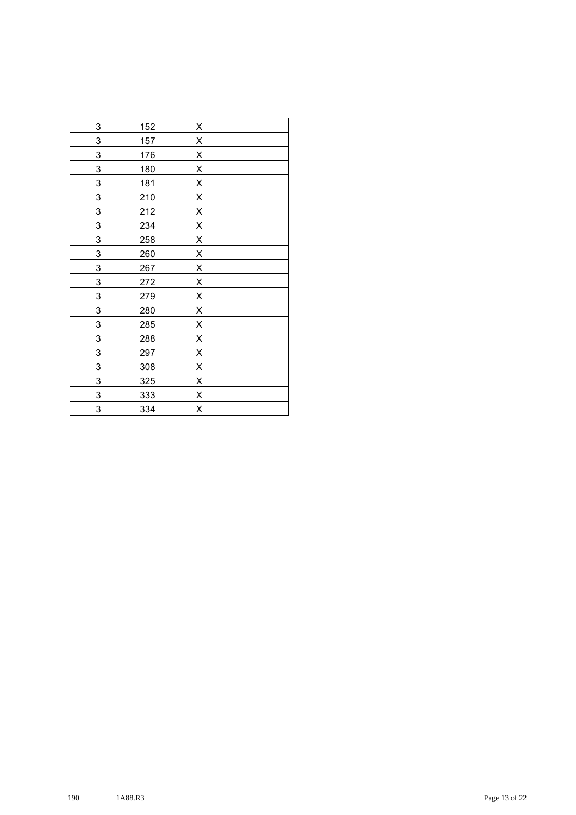| $\overline{3}$ | 152        | $\overline{\mathsf{X}}$ |  |
|----------------|------------|-------------------------|--|
| 3              | 157        | $\overline{\mathsf{X}}$ |  |
| 3              | 176        | $\overline{\mathsf{X}}$ |  |
| 3              | 180        | $\overline{\mathsf{X}}$ |  |
| $\overline{3}$ | <u>181</u> | $\overline{\mathsf{X}}$ |  |
| 3              | 210        | $\overline{\mathsf{X}}$ |  |
| 3              | 212        | $\overline{\mathsf{X}}$ |  |
| $\overline{3}$ | 234        | $\overline{\mathsf{X}}$ |  |
| 3              | 258        | $\overline{\mathsf{X}}$ |  |
| 3              | 260        | $\overline{\mathsf{X}}$ |  |
| 3              | 267        | $\mathsf{x}$            |  |
| 3              | 272        | $\overline{\mathsf{X}}$ |  |
| $\overline{3}$ | 279        | $\overline{\mathsf{X}}$ |  |
| $\overline{3}$ | 280        | $\overline{\mathsf{X}}$ |  |
| 3              | 285        | $\overline{X}$          |  |
| $\overline{3}$ | 288        | $\overline{\mathsf{X}}$ |  |
| $\overline{3}$ | 297        | $\overline{X}$          |  |
| $\overline{3}$ | 308        | $\overline{\mathsf{X}}$ |  |
| 3              | 325        | $\overline{\mathsf{X}}$ |  |
| $\overline{3}$ | 333        | $\overline{\mathsf{X}}$ |  |
| 3              | 334        | $\overline{\mathsf{X}}$ |  |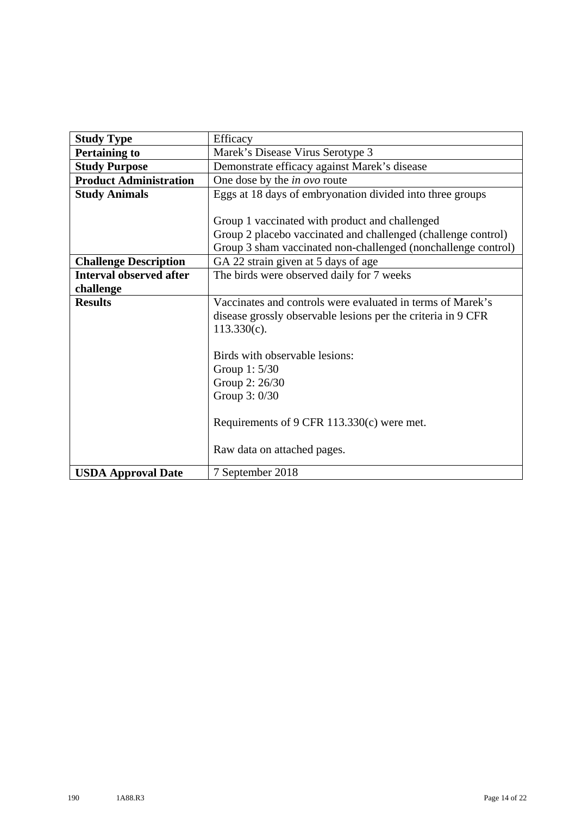| <b>Study Type</b>              | Efficacy                                                      |
|--------------------------------|---------------------------------------------------------------|
| <b>Pertaining to</b>           | Marek's Disease Virus Serotype 3                              |
| <b>Study Purpose</b>           | Demonstrate efficacy against Marek's disease                  |
| <b>Product Administration</b>  | One dose by the <i>in ovo</i> route                           |
| <b>Study Animals</b>           | Eggs at 18 days of embryonation divided into three groups     |
|                                |                                                               |
|                                | Group 1 vaccinated with product and challenged                |
|                                | Group 2 placebo vaccinated and challenged (challenge control) |
|                                | Group 3 sham vaccinated non-challenged (nonchallenge control) |
| <b>Challenge Description</b>   | GA 22 strain given at 5 days of age                           |
| <b>Interval observed after</b> | The birds were observed daily for 7 weeks                     |
| challenge                      |                                                               |
| <b>Results</b>                 | Vaccinates and controls were evaluated in terms of Marek's    |
|                                | disease grossly observable lesions per the criteria in 9 CFR  |
|                                | $113.330(c)$ .                                                |
|                                |                                                               |
|                                | Birds with observable lesions:                                |
|                                | Group 1: 5/30                                                 |
|                                | Group 2: 26/30                                                |
|                                | Group 3: 0/30                                                 |
|                                |                                                               |
|                                | Requirements of 9 CFR $113.330(c)$ were met.                  |
|                                |                                                               |
|                                | Raw data on attached pages.                                   |
| <b>USDA Approval Date</b>      | 7 September 2018                                              |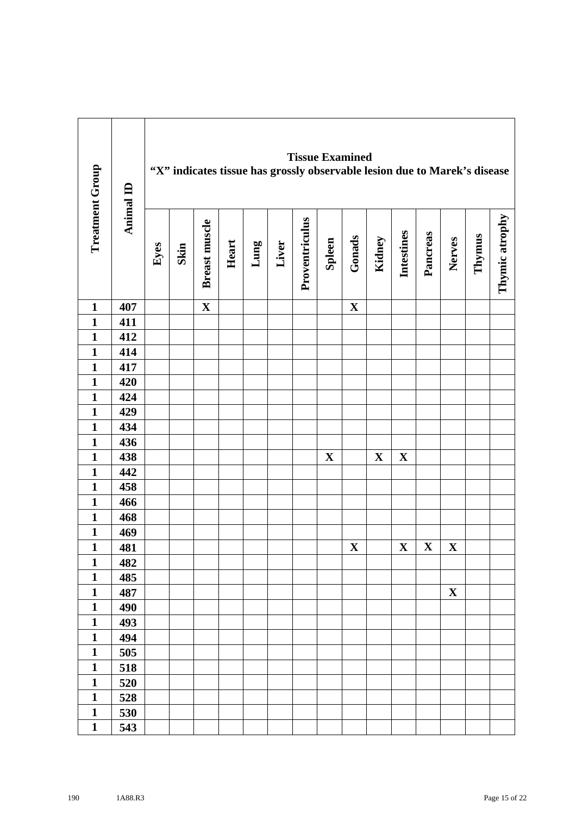| <b>Treatment Group</b> | Animal ID |      |      | "X" indicates tissue has grossly observable lesion due to Marek's disease |       |      |       | <b>Tissue Examined</b> |             |             |             |                   |             |             |        |                |
|------------------------|-----------|------|------|---------------------------------------------------------------------------|-------|------|-------|------------------------|-------------|-------------|-------------|-------------------|-------------|-------------|--------|----------------|
|                        |           | Eyes | Skin | Breast muscle                                                             | Heart | Lung | Liver | Proventriculus         | Spleen      | Gonads      | Kidney      | <b>Intestines</b> | Pancreas    | Nerves      | Thymus | Thymic atrophy |
| $\mathbf{1}$           | 407       |      |      | $\mathbf X$                                                               |       |      |       |                        |             | $\mathbf X$ |             |                   |             |             |        |                |
| $\mathbf{1}$           | 411       |      |      |                                                                           |       |      |       |                        |             |             |             |                   |             |             |        |                |
| $\mathbf{1}$           | 412       |      |      |                                                                           |       |      |       |                        |             |             |             |                   |             |             |        |                |
| $\mathbf{1}$           | 414       |      |      |                                                                           |       |      |       |                        |             |             |             |                   |             |             |        |                |
| $\mathbf{1}$           | 417       |      |      |                                                                           |       |      |       |                        |             |             |             |                   |             |             |        |                |
| $\mathbf{1}$           | 420       |      |      |                                                                           |       |      |       |                        |             |             |             |                   |             |             |        |                |
| $\mathbf{1}$           | 424       |      |      |                                                                           |       |      |       |                        |             |             |             |                   |             |             |        |                |
| $\mathbf{1}$           | 429       |      |      |                                                                           |       |      |       |                        |             |             |             |                   |             |             |        |                |
| $\mathbf{1}$           | 434       |      |      |                                                                           |       |      |       |                        |             |             |             |                   |             |             |        |                |
| $\mathbf{1}$           | 436       |      |      |                                                                           |       |      |       |                        |             |             |             |                   |             |             |        |                |
| $\mathbf{1}$           | 438       |      |      |                                                                           |       |      |       |                        | $\mathbf X$ |             | $\mathbf X$ | $\mathbf X$       |             |             |        |                |
| $\mathbf{1}$           | 442       |      |      |                                                                           |       |      |       |                        |             |             |             |                   |             |             |        |                |
| $\mathbf{1}$           | 458       |      |      |                                                                           |       |      |       |                        |             |             |             |                   |             |             |        |                |
| $\mathbf{1}$           | 466       |      |      |                                                                           |       |      |       |                        |             |             |             |                   |             |             |        |                |
| $\mathbf{1}$           | 468       |      |      |                                                                           |       |      |       |                        |             |             |             |                   |             |             |        |                |
| $\mathbf{1}$           | 469       |      |      |                                                                           |       |      |       |                        |             |             |             |                   |             |             |        |                |
| $\mathbf{1}$           | 481       |      |      |                                                                           |       |      |       |                        |             | $\mathbf X$ |             | $\mathbf X$       | $\mathbf X$ | $\mathbf X$ |        |                |
| $\mathbf{1}$           | 482       |      |      |                                                                           |       |      |       |                        |             |             |             |                   |             |             |        |                |
| $\mathbf{1}$           | 485       |      |      |                                                                           |       |      |       |                        |             |             |             |                   |             |             |        |                |
| $\mathbf{1}$           | 487       |      |      |                                                                           |       |      |       |                        |             |             |             |                   |             | $\mathbf X$ |        |                |
| $\mathbf{1}$           | 490       |      |      |                                                                           |       |      |       |                        |             |             |             |                   |             |             |        |                |
| $\mathbf{1}$           | 493       |      |      |                                                                           |       |      |       |                        |             |             |             |                   |             |             |        |                |
| $\mathbf{1}$           | 494       |      |      |                                                                           |       |      |       |                        |             |             |             |                   |             |             |        |                |
| $\mathbf{1}$           | 505       |      |      |                                                                           |       |      |       |                        |             |             |             |                   |             |             |        |                |
| $\mathbf{1}$           | 518       |      |      |                                                                           |       |      |       |                        |             |             |             |                   |             |             |        |                |
| $\mathbf{1}$           | 520       |      |      |                                                                           |       |      |       |                        |             |             |             |                   |             |             |        |                |
| $\mathbf{1}$           | 528       |      |      |                                                                           |       |      |       |                        |             |             |             |                   |             |             |        |                |
| $\mathbf{1}$           | 530       |      |      |                                                                           |       |      |       |                        |             |             |             |                   |             |             |        |                |
| $\mathbf{1}$           | 543       |      |      |                                                                           |       |      |       |                        |             |             |             |                   |             |             |        |                |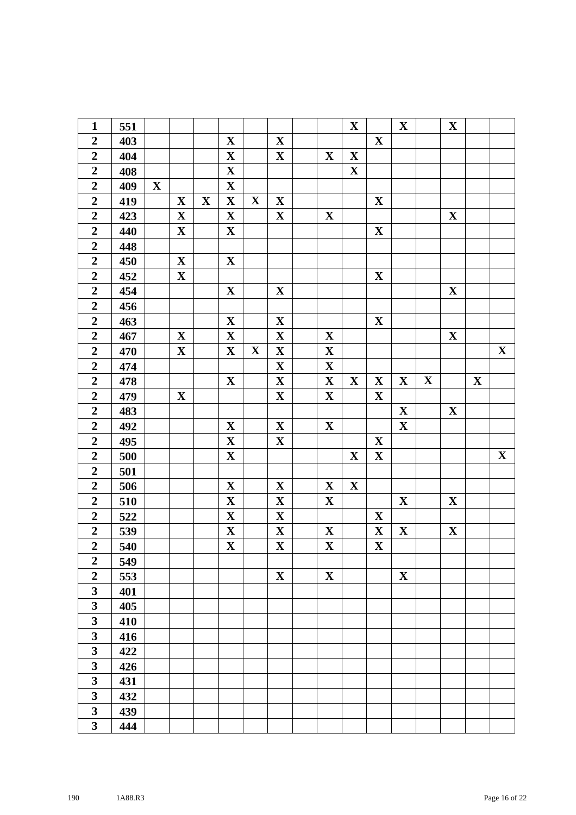| $\mathbf{1}$            | 551 |             |              |             |                         |             |              |              | $\mathbf{X}$ |             | $\mathbf X$ |             | $\mathbf X$ |             |             |
|-------------------------|-----|-------------|--------------|-------------|-------------------------|-------------|--------------|--------------|--------------|-------------|-------------|-------------|-------------|-------------|-------------|
| $\boldsymbol{2}$        | 403 |             |              |             | $\mathbf X$             |             | $\mathbf X$  |              |              | $\mathbf X$ |             |             |             |             |             |
| $\overline{2}$          | 404 |             |              |             | $\mathbf X$             |             | $\mathbf{X}$ | $\mathbf X$  | $\mathbf X$  |             |             |             |             |             |             |
| $\mathbf 2$             | 408 |             |              |             | $\mathbf X$             |             |              |              | $\mathbf X$  |             |             |             |             |             |             |
| $\boldsymbol{2}$        | 409 | $\mathbf X$ |              |             | $\mathbf X$             |             |              |              |              |             |             |             |             |             |             |
| $\overline{2}$          | 419 |             | $\mathbf X$  | $\mathbf X$ | $\mathbf X$             | $\mathbf X$ | $\mathbf X$  |              |              | $\mathbf X$ |             |             |             |             |             |
| $\boldsymbol{2}$        | 423 |             | $\mathbf X$  |             | $\mathbf X$             |             | $\mathbf X$  | $\mathbf X$  |              |             |             |             | $\mathbf X$ |             |             |
| $\overline{2}$          | 440 |             | $\mathbf X$  |             | $\mathbf X$             |             |              |              |              | $\mathbf X$ |             |             |             |             |             |
| $\overline{2}$          | 448 |             |              |             |                         |             |              |              |              |             |             |             |             |             |             |
| $\boldsymbol{2}$        | 450 |             | $\mathbf X$  |             | $\mathbf X$             |             |              |              |              |             |             |             |             |             |             |
| $\overline{2}$          | 452 |             | $\mathbf{X}$ |             |                         |             |              |              |              | $\mathbf X$ |             |             |             |             |             |
| $\boldsymbol{2}$        | 454 |             |              |             | $\mathbf X$             |             | $\mathbf X$  |              |              |             |             |             | $\mathbf X$ |             |             |
| $\overline{2}$          | 456 |             |              |             |                         |             |              |              |              |             |             |             |             |             |             |
| $\overline{2}$          | 463 |             |              |             | $\mathbf X$             |             | $\mathbf X$  |              |              | $\mathbf X$ |             |             |             |             |             |
| $\boldsymbol{2}$        | 467 |             | $\mathbf X$  |             | $\mathbf X$             |             | $\mathbf X$  | $\mathbf X$  |              |             |             |             | $\mathbf X$ |             |             |
| $\overline{2}$          | 470 |             | $\mathbf X$  |             | $\mathbf X$             | $\mathbf X$ | $\mathbf X$  | $\mathbf X$  |              |             |             |             |             |             | $\mathbf X$ |
| $\overline{2}$          | 474 |             |              |             |                         |             | $\mathbf X$  | $\mathbf X$  |              |             |             |             |             |             |             |
| $\boldsymbol{2}$        | 478 |             |              |             | $\mathbf X$             |             | $\mathbf X$  | $\mathbf X$  | $\mathbf{X}$ | $\mathbf X$ | $\mathbf X$ | $\mathbf X$ |             | $\mathbf X$ |             |
| $\boldsymbol{2}$        | 479 |             | $\mathbf X$  |             |                         |             | $\mathbf X$  | $\mathbf X$  |              | $\mathbf X$ |             |             |             |             |             |
| $\overline{2}$          | 483 |             |              |             |                         |             |              |              |              |             | $\mathbf X$ |             | $\mathbf X$ |             |             |
| $\boldsymbol{2}$        | 492 |             |              |             | $\mathbf X$             |             | $\mathbf X$  | $\mathbf X$  |              |             | $\mathbf X$ |             |             |             |             |
| $\mathbf 2$             | 495 |             |              |             | $\mathbf X$             |             | $\mathbf X$  |              |              | $\mathbf X$ |             |             |             |             |             |
| $\overline{2}$          | 500 |             |              |             | $\mathbf X$             |             |              |              | $\mathbf{X}$ | $\mathbf X$ |             |             |             |             | $\mathbf X$ |
| $\boldsymbol{2}$        | 501 |             |              |             |                         |             |              |              |              |             |             |             |             |             |             |
| $\overline{2}$          | 506 |             |              |             | $\mathbf X$             |             | $\mathbf X$  | $\mathbf{X}$ | $\mathbf{X}$ |             |             |             |             |             |             |
| $\overline{2}$          | 510 |             |              |             | $\mathbf{X}$            |             | $\mathbf X$  | $\mathbf X$  |              |             | $\mathbf X$ |             | $\mathbf X$ |             |             |
| $\boldsymbol{2}$        | 522 |             |              |             | $\mathbf{X}$            |             | $\mathbf X$  |              |              | $\mathbf X$ |             |             |             |             |             |
| $\boldsymbol{2}$        | 539 |             |              |             | $\mathbf X$             |             | $\mathbf X$  | $\mathbf X$  |              | $\mathbf X$ | $\mathbf X$ |             | $\mathbf X$ |             |             |
| $\overline{2}$          | 540 |             |              |             | $\overline{\mathbf{X}}$ |             | $\mathbf X$  | $\mathbf X$  |              | $\mathbf X$ |             |             |             |             |             |
| $\overline{2}$          | 549 |             |              |             |                         |             |              |              |              |             |             |             |             |             |             |
| $\boldsymbol{2}$        | 553 |             |              |             |                         |             | $\mathbf X$  | $\mathbf X$  |              |             | $\mathbf X$ |             |             |             |             |
| $\overline{\mathbf{3}}$ | 401 |             |              |             |                         |             |              |              |              |             |             |             |             |             |             |
| $\overline{\mathbf{3}}$ | 405 |             |              |             |                         |             |              |              |              |             |             |             |             |             |             |
| $\overline{\mathbf{3}}$ | 410 |             |              |             |                         |             |              |              |              |             |             |             |             |             |             |
| $\mathbf{3}$            | 416 |             |              |             |                         |             |              |              |              |             |             |             |             |             |             |
| $\mathbf{3}$            | 422 |             |              |             |                         |             |              |              |              |             |             |             |             |             |             |
| $\overline{\mathbf{3}}$ | 426 |             |              |             |                         |             |              |              |              |             |             |             |             |             |             |
| $\mathbf{3}$            | 431 |             |              |             |                         |             |              |              |              |             |             |             |             |             |             |
| $\overline{\mathbf{3}}$ | 432 |             |              |             |                         |             |              |              |              |             |             |             |             |             |             |
| $\overline{\mathbf{3}}$ | 439 |             |              |             |                         |             |              |              |              |             |             |             |             |             |             |
| $\mathbf{3}$            | 444 |             |              |             |                         |             |              |              |              |             |             |             |             |             |             |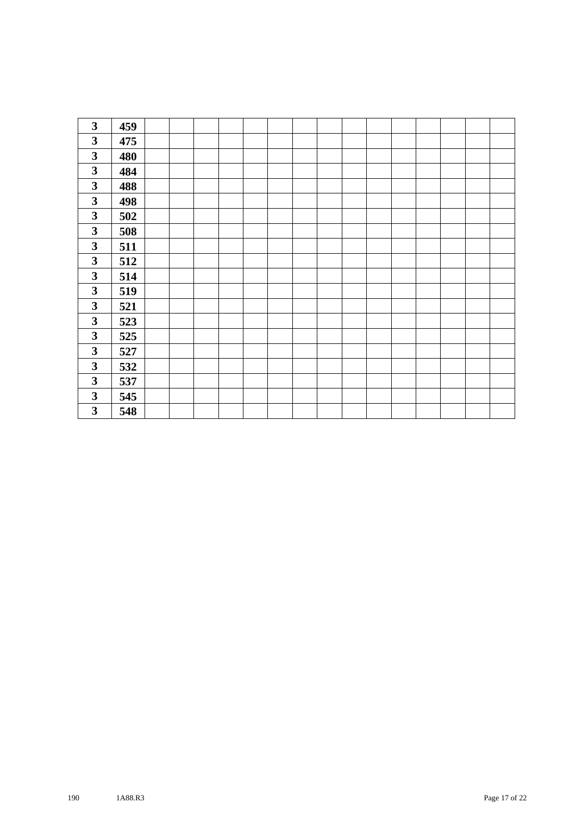| 3                       | 459 |  |  |  |  |  |  |  |  |
|-------------------------|-----|--|--|--|--|--|--|--|--|
| $\mathbf{3}$            | 475 |  |  |  |  |  |  |  |  |
| $\mathbf{3}$            | 480 |  |  |  |  |  |  |  |  |
| $\mathbf{3}$            | 484 |  |  |  |  |  |  |  |  |
| 3                       | 488 |  |  |  |  |  |  |  |  |
| $\mathbf{3}$            | 498 |  |  |  |  |  |  |  |  |
| $\mathbf{3}$            | 502 |  |  |  |  |  |  |  |  |
| $\mathbf{3}$            | 508 |  |  |  |  |  |  |  |  |
| $\mathbf{3}$            | 511 |  |  |  |  |  |  |  |  |
| $\mathbf{3}$            | 512 |  |  |  |  |  |  |  |  |
| $\mathbf{3}$            | 514 |  |  |  |  |  |  |  |  |
| $\overline{\mathbf{3}}$ | 519 |  |  |  |  |  |  |  |  |
| $\mathbf{3}$            | 521 |  |  |  |  |  |  |  |  |
| $\mathbf{3}$            | 523 |  |  |  |  |  |  |  |  |
| $\mathbf{3}$            | 525 |  |  |  |  |  |  |  |  |
| $\mathbf{3}$            | 527 |  |  |  |  |  |  |  |  |
| $\mathbf{3}$            | 532 |  |  |  |  |  |  |  |  |
| $\mathbf{3}$            | 537 |  |  |  |  |  |  |  |  |
| 3                       | 545 |  |  |  |  |  |  |  |  |
| $\mathbf{3}$            | 548 |  |  |  |  |  |  |  |  |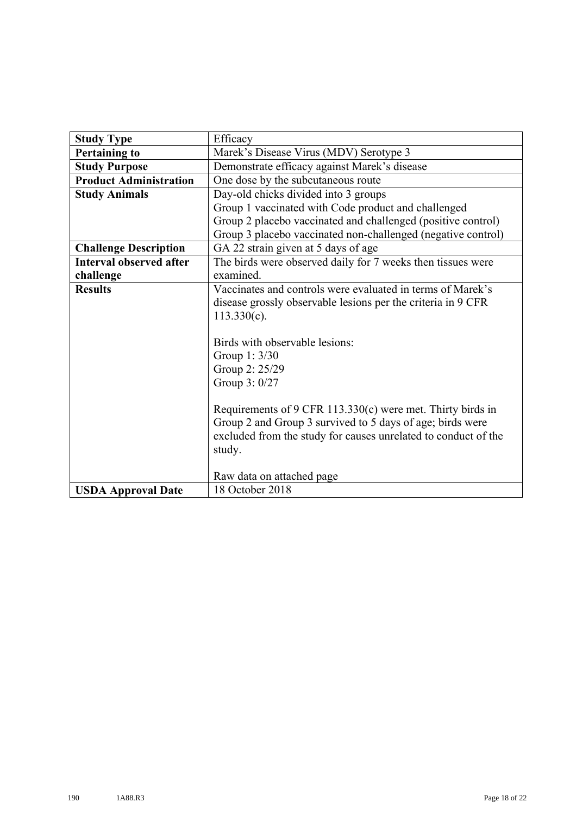| <b>Study Type</b>              | Efficacy                                                       |
|--------------------------------|----------------------------------------------------------------|
| <b>Pertaining to</b>           | Marek's Disease Virus (MDV) Serotype 3                         |
| <b>Study Purpose</b>           | Demonstrate efficacy against Marek's disease                   |
| <b>Product Administration</b>  | One dose by the subcutaneous route                             |
| <b>Study Animals</b>           | Day-old chicks divided into 3 groups                           |
|                                | Group 1 vaccinated with Code product and challenged            |
|                                | Group 2 placebo vaccinated and challenged (positive control)   |
|                                | Group 3 placebo vaccinated non-challenged (negative control)   |
| <b>Challenge Description</b>   | GA 22 strain given at 5 days of age                            |
| <b>Interval observed after</b> | The birds were observed daily for 7 weeks then tissues were    |
| challenge                      | examined.                                                      |
| <b>Results</b>                 | Vaccinates and controls were evaluated in terms of Marek's     |
|                                | disease grossly observable lesions per the criteria in 9 CFR   |
|                                | $113.330(c)$ .                                                 |
|                                |                                                                |
|                                | Birds with observable lesions:                                 |
|                                | Group 1: 3/30                                                  |
|                                | Group 2: 25/29                                                 |
|                                | Group 3: 0/27                                                  |
|                                |                                                                |
|                                | Requirements of 9 CFR 113.330(c) were met. Thirty birds in     |
|                                | Group 2 and Group 3 survived to 5 days of age; birds were      |
|                                | excluded from the study for causes unrelated to conduct of the |
|                                | study.                                                         |
|                                |                                                                |
|                                | Raw data on attached page                                      |
| <b>USDA Approval Date</b>      | 18 October 2018                                                |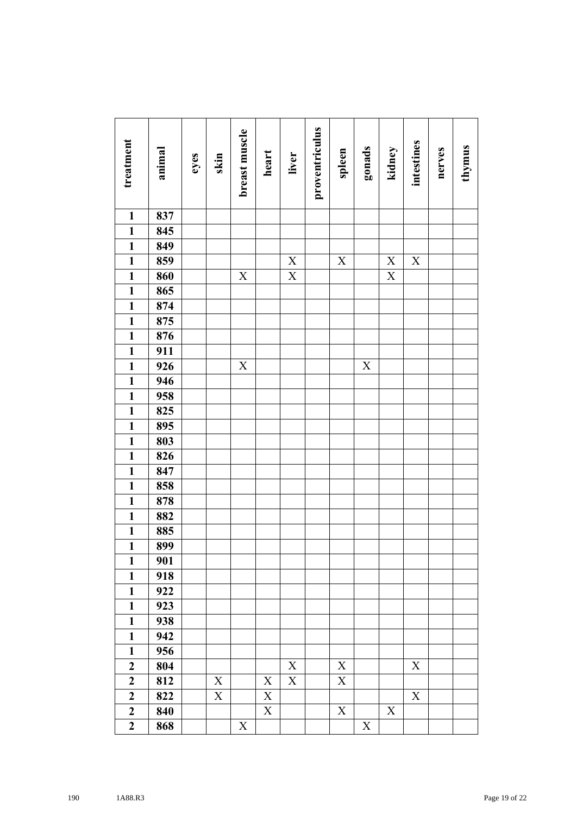| treatment               | animal | eyes | skin                      | breast muscle | heart       | liver                     | proventriculus | spleen                    | gonads      | kidney                    | intestines  | nerves | thymus |
|-------------------------|--------|------|---------------------------|---------------|-------------|---------------------------|----------------|---------------------------|-------------|---------------------------|-------------|--------|--------|
| $\mathbf{1}$            | 837    |      |                           |               |             |                           |                |                           |             |                           |             |        |        |
| $\mathbf{1}$            | 845    |      |                           |               |             |                           |                |                           |             |                           |             |        |        |
| $\mathbf{1}$            | 849    |      |                           |               |             |                           |                |                           |             |                           |             |        |        |
| $\mathbf{1}$            | 859    |      |                           |               |             | $\mathbf X$               |                | $\mathbf X$               |             | $\mathbf X$               | $\mathbf X$ |        |        |
| $\overline{\mathbf{1}}$ | 860    |      |                           | $\mathbf X$   |             | $\mathbf X$               |                |                           |             | $\overline{X}$            |             |        |        |
| $\overline{\mathbf{1}}$ | 865    |      |                           |               |             |                           |                |                           |             |                           |             |        |        |
| $\mathbf{1}$            | 874    |      |                           |               |             |                           |                |                           |             |                           |             |        |        |
| $\mathbf{1}$            | 875    |      |                           |               |             |                           |                |                           |             |                           |             |        |        |
| $\mathbf{1}$            | 876    |      |                           |               |             |                           |                |                           |             |                           |             |        |        |
| $\mathbf{1}$            | 911    |      |                           |               |             |                           |                |                           |             |                           |             |        |        |
| $\overline{\mathbf{1}}$ | 926    |      |                           | $\mathbf X$   |             |                           |                |                           | $\mathbf X$ |                           |             |        |        |
| $\overline{1}$          | 946    |      |                           |               |             |                           |                |                           |             |                           |             |        |        |
| $\mathbf{1}$            | 958    |      |                           |               |             |                           |                |                           |             |                           |             |        |        |
| $\mathbf{1}$            | 825    |      |                           |               |             |                           |                |                           |             |                           |             |        |        |
| $\mathbf{1}$            | 895    |      |                           |               |             |                           |                |                           |             |                           |             |        |        |
| $\mathbf{1}$            | 803    |      |                           |               |             |                           |                |                           |             |                           |             |        |        |
| $\overline{\mathbf{1}}$ | 826    |      |                           |               |             |                           |                |                           |             |                           |             |        |        |
| $\overline{\mathbf{1}}$ | 847    |      |                           |               |             |                           |                |                           |             |                           |             |        |        |
| $\mathbf{1}$            | 858    |      |                           |               |             |                           |                |                           |             |                           |             |        |        |
| $\mathbf{1}$            | 878    |      |                           |               |             |                           |                |                           |             |                           |             |        |        |
| $\mathbf{1}$            | 882    |      |                           |               |             |                           |                |                           |             |                           |             |        |        |
| $\mathbf{1}$            | 885    |      |                           |               |             |                           |                |                           |             |                           |             |        |        |
| $\overline{\mathbf{1}}$ | 899    |      |                           |               |             |                           |                |                           |             |                           |             |        |        |
| $\mathbf{1}$            | 901    |      |                           |               |             |                           |                |                           |             |                           |             |        |        |
| $\mathbf{1}$            | 918    |      |                           |               |             |                           |                |                           |             |                           |             |        |        |
| $\mathbf{1}$            | 922    |      |                           |               |             |                           |                |                           |             |                           |             |        |        |
| $\mathbf{1}$            | 923    |      |                           |               |             |                           |                |                           |             |                           |             |        |        |
| $\mathbf{1}$            | 938    |      |                           |               |             |                           |                |                           |             |                           |             |        |        |
| $\mathbf{1}$            | 942    |      |                           |               |             |                           |                |                           |             |                           |             |        |        |
| $\mathbf{1}$            | 956    |      |                           |               |             |                           |                |                           |             |                           |             |        |        |
| $\boldsymbol{2}$        | 804    |      |                           |               |             | $\mathbf X$               |                | X                         |             |                           | X           |        |        |
| $\boldsymbol{2}$        | 812    |      | $\mathbf X$               |               | $\mathbf X$ | $\boldsymbol{\mathrm{X}}$ |                | X                         |             |                           |             |        |        |
| $\overline{2}$          | 822    |      | $\boldsymbol{\mathrm{X}}$ |               | $\mathbf X$ |                           |                |                           |             |                           | $\mathbf X$ |        |        |
| $\boldsymbol{2}$        | 840    |      |                           |               | $\mathbf X$ |                           |                | $\boldsymbol{\mathrm{X}}$ |             | $\boldsymbol{\mathrm{X}}$ |             |        |        |
| $\boldsymbol{2}$        | 868    |      |                           | $\mathbf X$   |             |                           |                |                           | $\mathbf X$ |                           |             |        |        |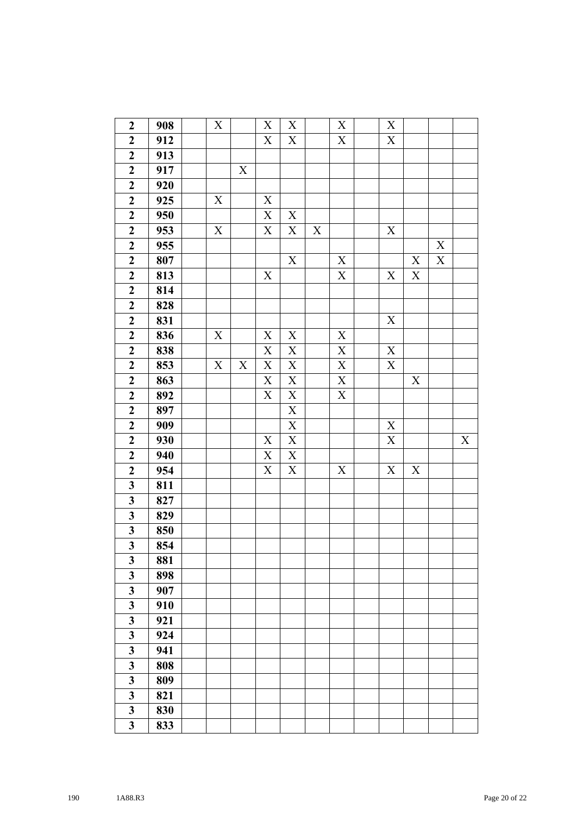| $\boldsymbol{2}$        | 908 | $\mathbf X$ |             | $\mathbf X$               | $\mathbf X$ |             | X                       | X                |             |             |             |
|-------------------------|-----|-------------|-------------|---------------------------|-------------|-------------|-------------------------|------------------|-------------|-------------|-------------|
| $\boldsymbol{2}$        | 912 |             |             | $\mathbf X$               | $\mathbf X$ |             | $\mathbf X$             | $\boldsymbol{X}$ |             |             |             |
| $\boldsymbol{2}$        | 913 |             |             |                           |             |             |                         |                  |             |             |             |
| $\overline{2}$          | 917 |             | $\mathbf X$ |                           |             |             |                         |                  |             |             |             |
| $\boldsymbol{2}$        | 920 |             |             |                           |             |             |                         |                  |             |             |             |
| $\boldsymbol{2}$        | 925 | X           |             | $\mathbf X$               |             |             |                         |                  |             |             |             |
| $\overline{\mathbf{2}}$ | 950 |             |             | $\mathbf X$               | $\mathbf X$ |             |                         |                  |             |             |             |
| $\boldsymbol{2}$        | 953 | $\mathbf X$ |             | $\mathbf X$               | $\mathbf X$ | $\mathbf X$ |                         | $\boldsymbol{X}$ |             |             |             |
| $\boldsymbol{2}$        | 955 |             |             |                           |             |             |                         |                  |             | X           |             |
| $\overline{\mathbf{c}}$ | 807 |             |             |                           | $\mathbf X$ |             | $\mathbf X$             |                  | $\mathbf X$ | $\mathbf X$ |             |
| $\boldsymbol{2}$        | 813 |             |             | $\mathbf X$               |             |             | $\mathbf X$             | X                | $\mathbf X$ |             |             |
| $\boldsymbol{2}$        | 814 |             |             |                           |             |             |                         |                  |             |             |             |
| $\boldsymbol{2}$        | 828 |             |             |                           |             |             |                         |                  |             |             |             |
| $\boldsymbol{2}$        | 831 |             |             |                           |             |             |                         | $\mathbf X$      |             |             |             |
| $\boldsymbol{2}$        | 836 | $\mathbf X$ |             | $\mathbf X$               | $\mathbf X$ |             | $\mathbf X$             |                  |             |             |             |
| $\mathbf{2}$            | 838 |             |             | $\mathbf X$               | $\mathbf X$ |             | $\mathbf X$             | $\mathbf X$      |             |             |             |
| $\overline{2}$          | 853 | $\mathbf X$ | $\mathbf X$ | $\overline{X}$            | $\mathbf X$ |             | $\overline{\textbf{X}}$ | $\mathbf X$      |             |             |             |
| $\boldsymbol{2}$        | 863 |             |             | $\mathbf X$               | $\mathbf X$ |             | $\mathbf X$             |                  | X           |             |             |
| $\boldsymbol{2}$        | 892 |             |             | $\mathbf X$               | $\mathbf X$ |             | $\mathbf X$             |                  |             |             |             |
| $\overline{2}$          | 897 |             |             |                           | $\mathbf X$ |             |                         |                  |             |             |             |
| $\boldsymbol{2}$        | 909 |             |             |                           | $\mathbf X$ |             |                         | $\boldsymbol{X}$ |             |             |             |
| $\overline{\mathbf{c}}$ | 930 |             |             | $\mathbf X$               | $\mathbf X$ |             |                         | $\overline{X}$   |             |             | $\mathbf X$ |
| $\overline{2}$          | 940 |             |             | $\mathbf X$               | $\mathbf X$ |             |                         |                  |             |             |             |
| $\boldsymbol{2}$        | 954 |             |             | $\boldsymbol{\mathrm{X}}$ | $\mathbf X$ |             | X                       | X                | $\mathbf X$ |             |             |
| $\mathbf{3}$            | 811 |             |             |                           |             |             |                         |                  |             |             |             |
| $\overline{\mathbf{3}}$ | 827 |             |             |                           |             |             |                         |                  |             |             |             |
| $\overline{\mathbf{3}}$ | 829 |             |             |                           |             |             |                         |                  |             |             |             |
| $\mathbf{3}$            | 850 |             |             |                           |             |             |                         |                  |             |             |             |
| $\overline{\mathbf{3}}$ | 854 |             |             |                           |             |             |                         |                  |             |             |             |
| 3                       | 881 |             |             |                           |             |             |                         |                  |             |             |             |
| $\overline{\mathbf{3}}$ | 898 |             |             |                           |             |             |                         |                  |             |             |             |
| $\overline{\mathbf{3}}$ | 907 |             |             |                           |             |             |                         |                  |             |             |             |
| $\mathbf{3}$            | 910 |             |             |                           |             |             |                         |                  |             |             |             |
| $\mathbf{3}$            | 921 |             |             |                           |             |             |                         |                  |             |             |             |
| $\overline{\mathbf{3}}$ | 924 |             |             |                           |             |             |                         |                  |             |             |             |
| $\mathbf{3}$            | 941 |             |             |                           |             |             |                         |                  |             |             |             |
| $\mathbf{3}$            | 808 |             |             |                           |             |             |                         |                  |             |             |             |
| $\overline{\mathbf{3}}$ | 809 |             |             |                           |             |             |                         |                  |             |             |             |
| $\mathbf{3}$            | 821 |             |             |                           |             |             |                         |                  |             |             |             |
| $\mathbf{3}$            | 830 |             |             |                           |             |             |                         |                  |             |             |             |
| $\mathbf{3}$            | 833 |             |             |                           |             |             |                         |                  |             |             |             |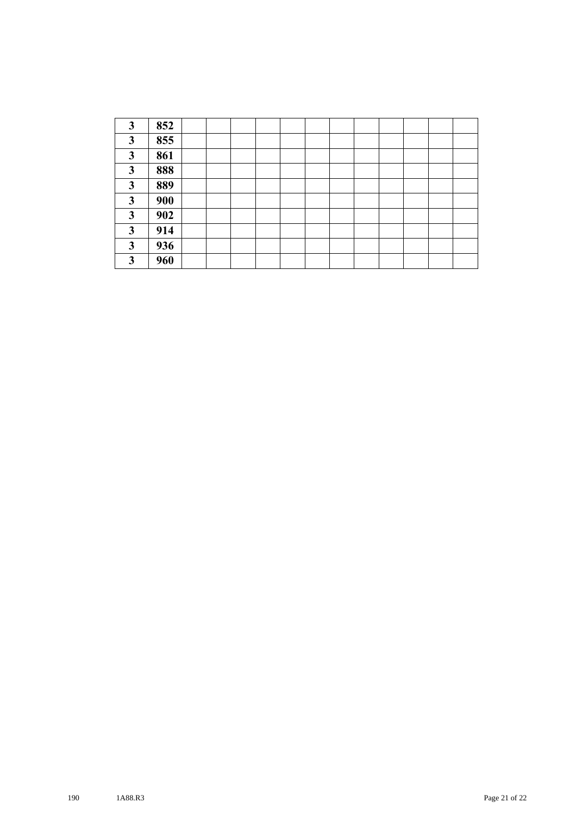| 3            | 852 |  |  |  |  |  |  |
|--------------|-----|--|--|--|--|--|--|
| 3            | 855 |  |  |  |  |  |  |
| 3            | 861 |  |  |  |  |  |  |
| 3            | 888 |  |  |  |  |  |  |
| 3            | 889 |  |  |  |  |  |  |
| 3            | 900 |  |  |  |  |  |  |
| $\mathbf{3}$ | 902 |  |  |  |  |  |  |
| 3            | 914 |  |  |  |  |  |  |
| 3            | 936 |  |  |  |  |  |  |
| 3            | 960 |  |  |  |  |  |  |